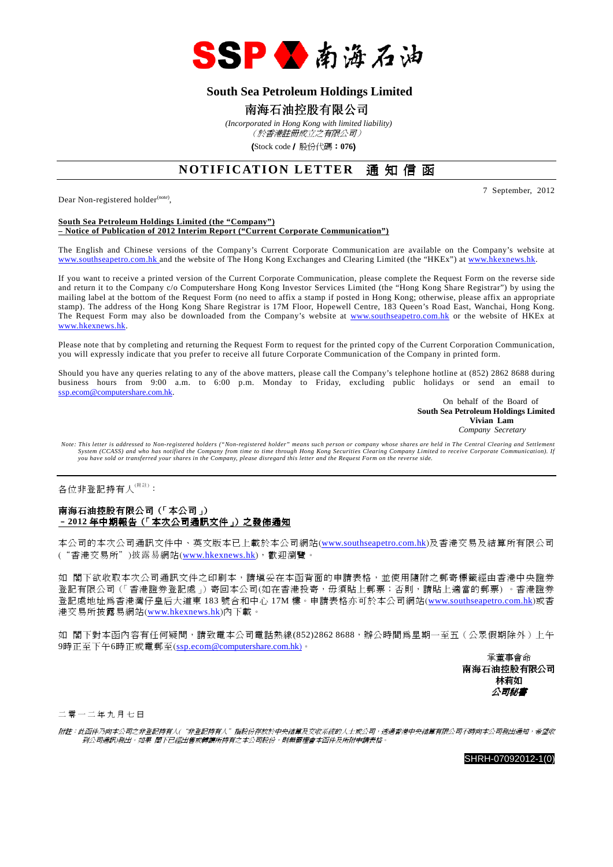

## **South Sea Petroleum Holdings Limited**

## 南海石油控股有限公司

 *(Incorporated in Hong Kong with limited liability)* (於香港註冊成立之有限公司)

(Stock code/ 股份代碼:**076**)

## **NOTIFICATION LETTER** 通知信函

Dear Non-registered holder<sup>(note)</sup>,

7 September, 2012

#### **South Sea Petroleum Holdings Limited (the "Company") – Notice of Publication of 2012 Interim Report ("Current Corporate Communication")**

The English and Chinese versions of the Company's Current Corporate Communication are available on the Company's website at www.southseapetro.com.hk and the website of The Hong Kong Exchanges and Clearing Limited (the "HKEx") at www.hkexnews.hk.

If you want to receive a printed version of the Current Corporate Communication, please complete the Request Form on the reverse side and return it to the Company c/o Computershare Hong Kong Investor Services Limited (the "Hong Kong Share Registrar") by using the mailing label at the bottom of the Request Form (no need to affix a stamp if posted in Hong Kong; otherwise, please affix an appropriate stamp). The address of the Hong Kong Share Registrar is 17M Floor, Hopewell Centre, 183 Queen's Road East, Wanchai, Hong Kong. The Request Form may also be downloaded from the Company's website at www.southseapetro.com.hk or the website of HKEx at www.hkexnews.hk.

Please note that by completing and returning the Request Form to request for the printed copy of the Current Corporation Communication, you will expressly indicate that you prefer to receive all future Corporate Communication of the Company in printed form.

Should you have any queries relating to any of the above matters, please call the Company's telephone hotline at (852) 2862 8688 during business hours from 9:00 a.m. to 6:00 p.m. Monday to Friday, excluding public holidays or send an email to ssp.ecom@computershare.com.hk.

> On behalf of the Board of **South Sea Petroleum Holdings Limited Vivian Lam**  *Company Secretary*

Note: This letter is addressed to Non-registered holders ("Non-registered holder" means such person or company whose shares are held in The Central Clearing and Settlement<br>System (CCASS) and who has notified the Company fr *you have sold or transferred your shares in the Company, please disregard this letter and the Request Form on the reverse side.* 

各位非登記持有人<sup>(附註)</sup>:

### 南海石油控股有限公司(「本公司」) –**2012** 年中期報告(「本次公司通訊文件」)之發佈通知

本公司的本次公司通訊文件中、英文版本已上載於本公司網站(www.southseapetro.com.hk)及香港交易及結算所有限公司 ("香港交易所")披露易網站(www.hkexnews.hk),歡迎瀏覽。

如 閣下欲收取本次公司通訊文件之印刷本,請填妥在本函背面的申請表格,並使用隨附之郵寄標籤經由香港中央證券 登記有限公司(「香港證券登記處」)寄回本公司(如在香港投寄,毋須貼上郵票;否則,請貼上適當的郵票) 。香港證券 登記處地址為香港灣仔皇后大道東 183 號合和中心 17M 樓。申請表格亦可於本公司網站(www.southseapetro.com.hk)或香 港交易所披露易網站(www.hkexnews.hk)內下載。

如 閣下對本函內容有任何疑問,請致電本公司電話熱線(852)2862 8688,辦公時間為星期一至五(公眾假期除外)上午 9時正至下午6時正或電郵至(ssp.ecom@computershare.com.hk)。

> 承董事會命 南海石油控股有限公司 林莉如 公司秘書

二 零 一 二 年 九 月 七 日

附註:此函件乃向本公司之非登記持有人("非登記持有人"指股份存放於中央結算及交收系統的人士或公司,透過香港中央結算有限公司不時向本公司發出通知,希望收 到公司通訊)發出。如果 閣下已經出售或轉讓所持有之本公司股份,則無需理會本函件及所附申請表格。

SHRH-07092012-1(0)